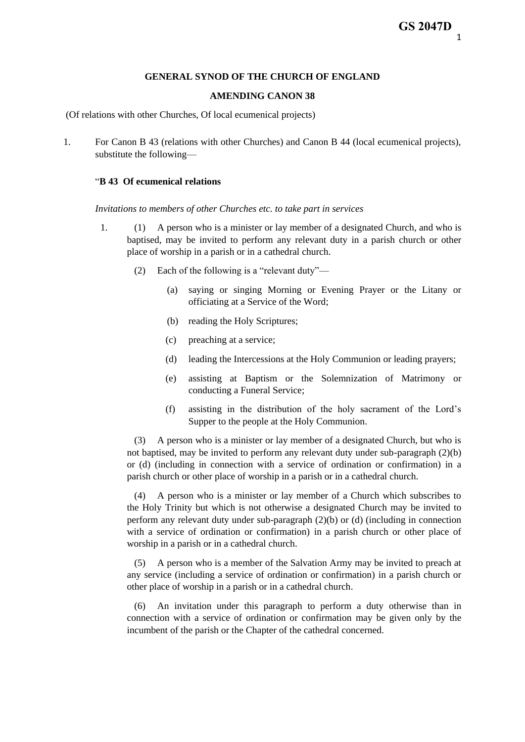### **GENERAL SYNOD OF THE CHURCH OF ENGLAND**

### **AMENDING CANON 38**

(Of relations with other Churches, Of local ecumenical projects)

1. For Canon B 43 (relations with other Churches) and Canon B 44 (local ecumenical projects), substitute the following—

# "**B 43 Of ecumenical relations**

*Invitations to members of other Churches etc. to take part in services*

- 1. (1) A person who is a minister or lay member of a designated Church, and who is baptised, may be invited to perform any relevant duty in a parish church or other place of worship in a parish or in a cathedral church.
	- (2) Each of the following is a "relevant duty"—
		- (a) saying or singing Morning or Evening Prayer or the Litany or officiating at a Service of the Word;
		- (b) reading the Holy Scriptures;
		- (c) preaching at a service;
		- (d) leading the Intercessions at the Holy Communion or leading prayers;
		- (e) assisting at Baptism or the Solemnization of Matrimony or conducting a Funeral Service;
		- (f) assisting in the distribution of the holy sacrament of the Lord's Supper to the people at the Holy Communion.

(3) A person who is a minister or lay member of a designated Church, but who is not baptised, may be invited to perform any relevant duty under sub-paragraph (2)(b) or (d) (including in connection with a service of ordination or confirmation) in a parish church or other place of worship in a parish or in a cathedral church.

(4) A person who is a minister or lay member of a Church which subscribes to the Holy Trinity but which is not otherwise a designated Church may be invited to perform any relevant duty under sub-paragraph (2)(b) or (d) (including in connection with a service of ordination or confirmation) in a parish church or other place of worship in a parish or in a cathedral church.

(5) A person who is a member of the Salvation Army may be invited to preach at any service (including a service of ordination or confirmation) in a parish church or other place of worship in a parish or in a cathedral church.

(6) An invitation under this paragraph to perform a duty otherwise than in connection with a service of ordination or confirmation may be given only by the incumbent of the parish or the Chapter of the cathedral concerned.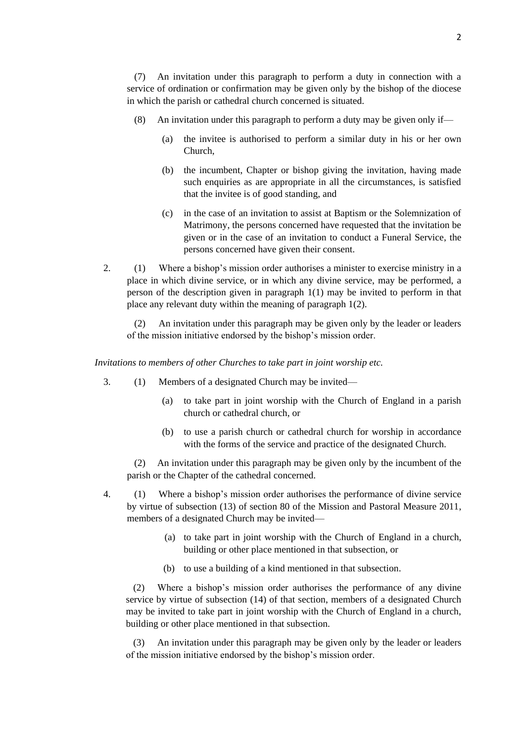(7) An invitation under this paragraph to perform a duty in connection with a service of ordination or confirmation may be given only by the bishop of the diocese in which the parish or cathedral church concerned is situated.

- (8) An invitation under this paragraph to perform a duty may be given only if—
	- (a) the invitee is authorised to perform a similar duty in his or her own Church,
	- (b) the incumbent, Chapter or bishop giving the invitation, having made such enquiries as are appropriate in all the circumstances, is satisfied that the invitee is of good standing, and
	- (c) in the case of an invitation to assist at Baptism or the Solemnization of Matrimony, the persons concerned have requested that the invitation be given or in the case of an invitation to conduct a Funeral Service, the persons concerned have given their consent.
- 2. (1) Where a bishop's mission order authorises a minister to exercise ministry in a place in which divine service, or in which any divine service, may be performed, a person of the description given in paragraph 1(1) may be invited to perform in that place any relevant duty within the meaning of paragraph 1(2).

 (2) An invitation under this paragraph may be given only by the leader or leaders of the mission initiative endorsed by the bishop's mission order.

*Invitations to members of other Churches to take part in joint worship etc.*

- 3. (1) Members of a designated Church may be invited—
	- (a) to take part in joint worship with the Church of England in a parish church or cathedral church, or
	- (b) to use a parish church or cathedral church for worship in accordance with the forms of the service and practice of the designated Church.

 (2) An invitation under this paragraph may be given only by the incumbent of the parish or the Chapter of the cathedral concerned.

- 4. (1) Where a bishop's mission order authorises the performance of divine service by virtue of subsection (13) of section 80 of the Mission and Pastoral Measure 2011, members of a designated Church may be invited—
	- (a) to take part in joint worship with the Church of England in a church, building or other place mentioned in that subsection, or
	- (b) to use a building of a kind mentioned in that subsection.

 (2) Where a bishop's mission order authorises the performance of any divine service by virtue of subsection (14) of that section, members of a designated Church may be invited to take part in joint worship with the Church of England in a church, building or other place mentioned in that subsection.

 (3) An invitation under this paragraph may be given only by the leader or leaders of the mission initiative endorsed by the bishop's mission order.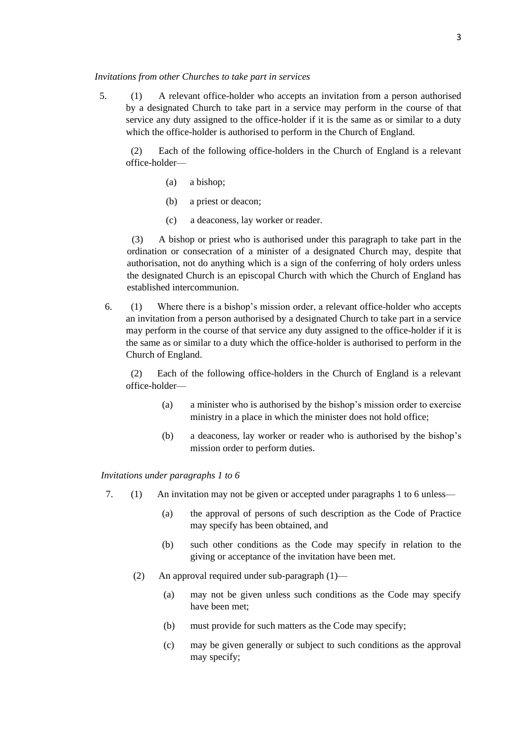#### *Invitations from other Churches to take part in services*

 5. (1) A relevant office-holder who accepts an invitation from a person authorised by a designated Church to take part in a service may perform in the course of that service any duty assigned to the office-holder if it is the same as or similar to a duty which the office-holder is authorised to perform in the Church of England.

 (2) Each of the following office-holders in the Church of England is a relevant office-holder—

- (a) a bishop;
- (b) a priest or deacon;
- (c) a deaconess, lay worker or reader.

 (3) A bishop or priest who is authorised under this paragraph to take part in the ordination or consecration of a minister of a designated Church may, despite that authorisation, not do anything which is a sign of the conferring of holy orders unless the designated Church is an episcopal Church with which the Church of England has established intercommunion.

 6. (1) Where there is a bishop's mission order, a relevant office-holder who accepts an invitation from a person authorised by a designated Church to take part in a service may perform in the course of that service any duty assigned to the office-holder if it is the same as or similar to a duty which the office-holder is authorised to perform in the Church of England.

 (2) Each of the following office-holders in the Church of England is a relevant office-holder—

- (a) a minister who is authorised by the bishop's mission order to exercise ministry in a place in which the minister does not hold office;
- (b) a deaconess, lay worker or reader who is authorised by the bishop's mission order to perform duties.

#### *Invitations under paragraphs 1 to 6*

- 7. (1) An invitation may not be given or accepted under paragraphs 1 to 6 unless—
	- (a) the approval of persons of such description as the Code of Practice may specify has been obtained, and
	- (b) such other conditions as the Code may specify in relation to the giving or acceptance of the invitation have been met.
	- (2) An approval required under sub-paragraph (1)—
		- (a) may not be given unless such conditions as the Code may specify have been met;
		- (b) must provide for such matters as the Code may specify;
		- (c) may be given generally or subject to such conditions as the approval may specify;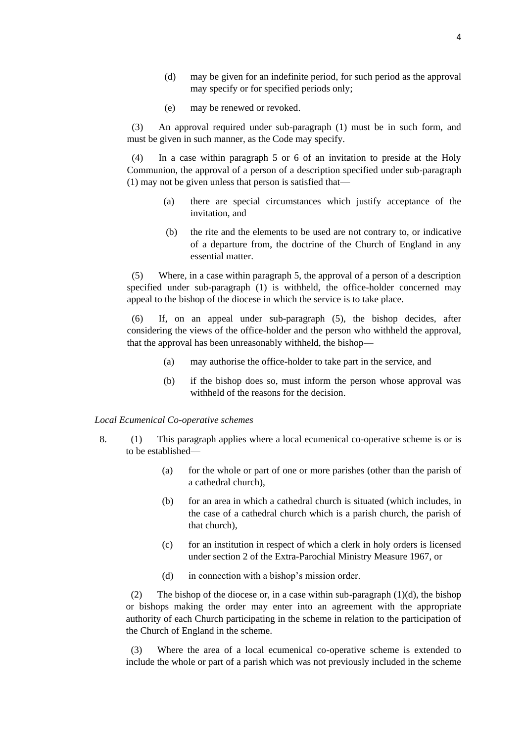- (d) may be given for an indefinite period, for such period as the approval may specify or for specified periods only;
- (e) may be renewed or revoked.

 (3) An approval required under sub-paragraph (1) must be in such form, and must be given in such manner, as the Code may specify.

(4) In a case within paragraph 5 or 6 of an invitation to preside at the Holy Communion, the approval of a person of a description specified under sub-paragraph (1) may not be given unless that person is satisfied that—

- (a) there are special circumstances which justify acceptance of the invitation, and
- (b) the rite and the elements to be used are not contrary to, or indicative of a departure from, the doctrine of the Church of England in any essential matter.

 (5) Where, in a case within paragraph 5, the approval of a person of a description specified under sub-paragraph (1) is withheld, the office-holder concerned may appeal to the bishop of the diocese in which the service is to take place.

 (6) If, on an appeal under sub-paragraph (5), the bishop decides, after considering the views of the office-holder and the person who withheld the approval, that the approval has been unreasonably withheld, the bishop—

- (a) may authorise the office-holder to take part in the service, and
- (b) if the bishop does so, must inform the person whose approval was withheld of the reasons for the decision.

#### *Local Ecumenical Co-operative schemes*

- 8. (1) This paragraph applies where a local ecumenical co-operative scheme is or is to be established—
	- (a) for the whole or part of one or more parishes (other than the parish of a cathedral church),
	- (b) for an area in which a cathedral church is situated (which includes, in the case of a cathedral church which is a parish church, the parish of that church),
	- (c) for an institution in respect of which a clerk in holy orders is licensed under section 2 of the Extra-Parochial Ministry Measure 1967, or
	- (d) in connection with a bishop's mission order.

(2) The bishop of the diocese or, in a case within sub-paragraph  $(1)(d)$ , the bishop or bishops making the order may enter into an agreement with the appropriate authority of each Church participating in the scheme in relation to the participation of the Church of England in the scheme.

 (3) Where the area of a local ecumenical co-operative scheme is extended to include the whole or part of a parish which was not previously included in the scheme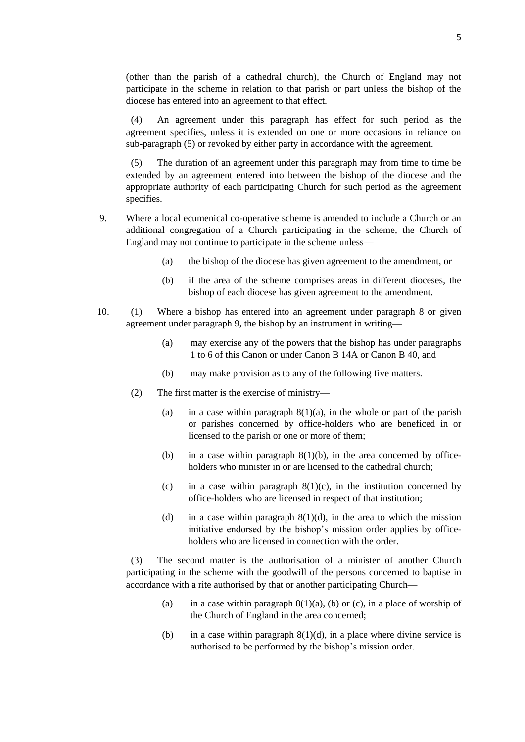(other than the parish of a cathedral church), the Church of England may not participate in the scheme in relation to that parish or part unless the bishop of the diocese has entered into an agreement to that effect.

 (4) An agreement under this paragraph has effect for such period as the agreement specifies, unless it is extended on one or more occasions in reliance on sub-paragraph (5) or revoked by either party in accordance with the agreement.

 (5) The duration of an agreement under this paragraph may from time to time be extended by an agreement entered into between the bishop of the diocese and the appropriate authority of each participating Church for such period as the agreement specifies.

- 9. Where a local ecumenical co-operative scheme is amended to include a Church or an additional congregation of a Church participating in the scheme, the Church of England may not continue to participate in the scheme unless—
	- (a) the bishop of the diocese has given agreement to the amendment, or
	- (b) if the area of the scheme comprises areas in different dioceses, the bishop of each diocese has given agreement to the amendment.
- 10. (1) Where a bishop has entered into an agreement under paragraph 8 or given agreement under paragraph 9, the bishop by an instrument in writing—
	- (a) may exercise any of the powers that the bishop has under paragraphs 1 to 6 of this Canon or under Canon B 14A or Canon B 40, and
	- (b) may make provision as to any of the following five matters.
	- (2) The first matter is the exercise of ministry—
		- (a) in a case within paragraph  $8(1)(a)$ , in the whole or part of the parish or parishes concerned by office-holders who are beneficed in or licensed to the parish or one or more of them;
		- (b) in a case within paragraph  $8(1)(b)$ , in the area concerned by officeholders who minister in or are licensed to the cathedral church;
		- (c) in a case within paragraph  $8(1)(c)$ , in the institution concerned by office-holders who are licensed in respect of that institution;
		- (d) in a case within paragraph  $8(1)(d)$ , in the area to which the mission initiative endorsed by the bishop's mission order applies by officeholders who are licensed in connection with the order.

 (3) The second matter is the authorisation of a minister of another Church participating in the scheme with the goodwill of the persons concerned to baptise in accordance with a rite authorised by that or another participating Church—

- (a) in a case within paragraph  $8(1)(a)$ , (b) or (c), in a place of worship of the Church of England in the area concerned;
- (b) in a case within paragraph  $8(1)(d)$ , in a place where divine service is authorised to be performed by the bishop's mission order.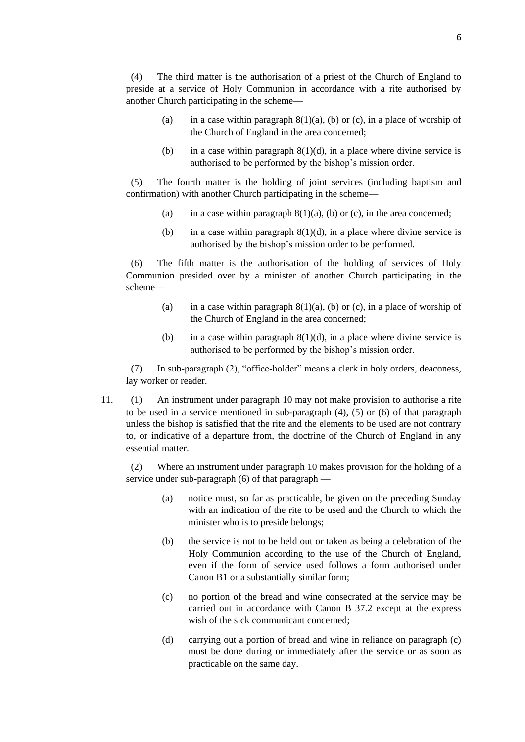(4) The third matter is the authorisation of a priest of the Church of England to preside at a service of Holy Communion in accordance with a rite authorised by another Church participating in the scheme—

- (a) in a case within paragraph  $8(1)(a)$ , (b) or (c), in a place of worship of the Church of England in the area concerned;
- (b) in a case within paragraph  $8(1)(d)$ , in a place where divine service is authorised to be performed by the bishop's mission order.

 (5) The fourth matter is the holding of joint services (including baptism and confirmation) with another Church participating in the scheme—

- (a) in a case within paragraph  $8(1)(a)$ , (b) or (c), in the area concerned;
- (b) in a case within paragraph  $8(1)(d)$ , in a place where divine service is authorised by the bishop's mission order to be performed.

 (6) The fifth matter is the authorisation of the holding of services of Holy Communion presided over by a minister of another Church participating in the scheme—

- (a) in a case within paragraph  $8(1)(a)$ , (b) or (c), in a place of worship of the Church of England in the area concerned;
- (b) in a case within paragraph  $8(1)(d)$ , in a place where divine service is authorised to be performed by the bishop's mission order.

 (7) In sub-paragraph (2), "office-holder" means a clerk in holy orders, deaconess, lay worker or reader.

11. (1) An instrument under paragraph 10 may not make provision to authorise a rite to be used in a service mentioned in sub-paragraph (4), (5) or (6) of that paragraph unless the bishop is satisfied that the rite and the elements to be used are not contrary to, or indicative of a departure from, the doctrine of the Church of England in any essential matter.

 (2) Where an instrument under paragraph 10 makes provision for the holding of a service under sub-paragraph (6) of that paragraph —

- (a) notice must, so far as practicable, be given on the preceding Sunday with an indication of the rite to be used and the Church to which the minister who is to preside belongs;
- (b) the service is not to be held out or taken as being a celebration of the Holy Communion according to the use of the Church of England, even if the form of service used follows a form authorised under Canon B1 or a substantially similar form;
- (c) no portion of the bread and wine consecrated at the service may be carried out in accordance with Canon B 37.2 except at the express wish of the sick communicant concerned;
- (d) carrying out a portion of bread and wine in reliance on paragraph (c) must be done during or immediately after the service or as soon as practicable on the same day.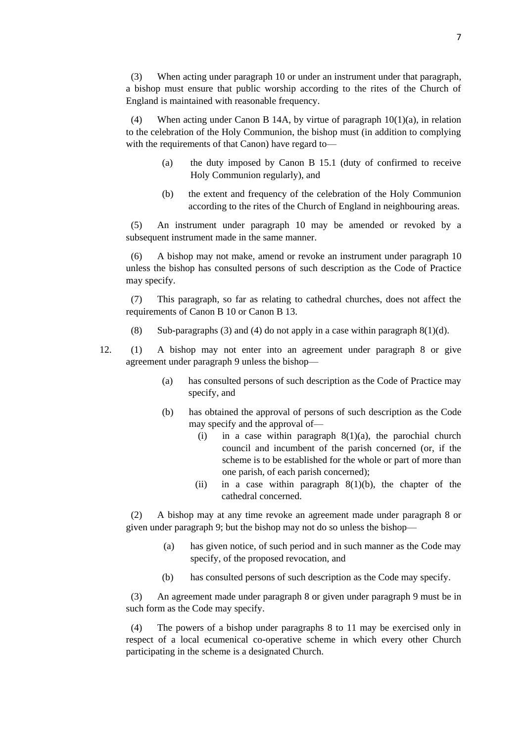(3) When acting under paragraph 10 or under an instrument under that paragraph, a bishop must ensure that public worship according to the rites of the Church of England is maintained with reasonable frequency.

 (4) When acting under Canon B 14A, by virtue of paragraph 10(1)(a), in relation to the celebration of the Holy Communion, the bishop must (in addition to complying with the requirements of that Canon) have regard to—

- (a) the duty imposed by Canon B 15.1 (duty of confirmed to receive Holy Communion regularly), and
- (b) the extent and frequency of the celebration of the Holy Communion according to the rites of the Church of England in neighbouring areas.

 (5) An instrument under paragraph 10 may be amended or revoked by a subsequent instrument made in the same manner.

 (6) A bishop may not make, amend or revoke an instrument under paragraph 10 unless the bishop has consulted persons of such description as the Code of Practice may specify.

 (7) This paragraph, so far as relating to cathedral churches, does not affect the requirements of Canon B 10 or Canon B 13.

- (8) Sub-paragraphs (3) and (4) do not apply in a case within paragraph  $8(1)(d)$ .
- 12. (1) A bishop may not enter into an agreement under paragraph 8 or give agreement under paragraph 9 unless the bishop—
	- (a) has consulted persons of such description as the Code of Practice may specify, and
	- (b) has obtained the approval of persons of such description as the Code may specify and the approval of—
		- (i) in a case within paragraph  $8(1)(a)$ , the parochial church council and incumbent of the parish concerned (or, if the scheme is to be established for the whole or part of more than one parish, of each parish concerned);
		- (ii) in a case within paragraph  $8(1)(b)$ , the chapter of the cathedral concerned.

 (2) A bishop may at any time revoke an agreement made under paragraph 8 or given under paragraph 9; but the bishop may not do so unless the bishop—

- (a) has given notice, of such period and in such manner as the Code may specify, of the proposed revocation, and
- (b) has consulted persons of such description as the Code may specify.

 (3) An agreement made under paragraph 8 or given under paragraph 9 must be in such form as the Code may specify.

 (4) The powers of a bishop under paragraphs 8 to 11 may be exercised only in respect of a local ecumenical co-operative scheme in which every other Church participating in the scheme is a designated Church.